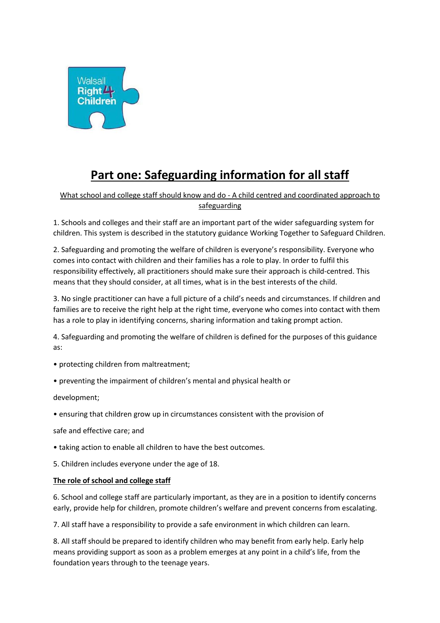

# **Part one: Safeguarding information for all staff**

# What school and college staff should know and do - A child centred and coordinated approach to safeguarding

1. Schools and colleges and their staff are an important part of the wider safeguarding system for children. This system is described in the statutory guidance Working Together to Safeguard Children.

2. Safeguarding and promoting the welfare of children is everyone's responsibility. Everyone who comes into contact with children and their families has a role to play. In order to fulfil this responsibility effectively, all practitioners should make sure their approach is child-centred. This means that they should consider, at all times, what is in the best interests of the child.

3. No single practitioner can have a full picture of a child's needs and circumstances. If children and families are to receive the right help at the right time, everyone who comes into contact with them has a role to play in identifying concerns, sharing information and taking prompt action.

4. Safeguarding and promoting the welfare of children is defined for the purposes of this guidance as:

- protecting children from maltreatment;
- preventing the impairment of children's mental and physical health or

development;

• ensuring that children grow up in circumstances consistent with the provision of

safe and effective care; and

- taking action to enable all children to have the best outcomes.
- 5. Children includes everyone under the age of 18.

#### **The role of school and college staff**

6. School and college staff are particularly important, as they are in a position to identify concerns early, provide help for children, promote children's welfare and prevent concerns from escalating.

7. All staff have a responsibility to provide a safe environment in which children can learn.

8. All staff should be prepared to identify children who may benefit from early help. Early help means providing support as soon as a problem emerges at any point in a child's life, from the foundation years through to the teenage years.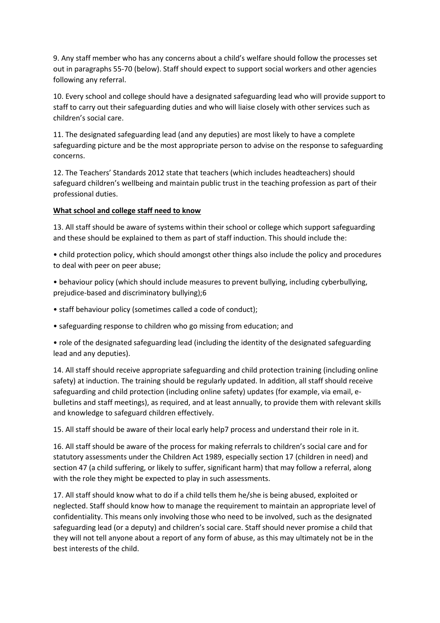9. Any staff member who has any concerns about a child's welfare should follow the processes set out in paragraphs 55-70 (below). Staff should expect to support social workers and other agencies following any referral.

10. Every school and college should have a designated safeguarding lead who will provide support to staff to carry out their safeguarding duties and who will liaise closely with other services such as children's social care.

11. The designated safeguarding lead (and any deputies) are most likely to have a complete safeguarding picture and be the most appropriate person to advise on the response to safeguarding concerns.

12. The Teachers' Standards 2012 state that teachers (which includes headteachers) should safeguard children's wellbeing and maintain public trust in the teaching profession as part of their professional duties.

## **What school and college staff need to know**

13. All staff should be aware of systems within their school or college which support safeguarding and these should be explained to them as part of staff induction. This should include the:

• child protection policy, which should amongst other things also include the policy and procedures to deal with peer on peer abuse;

• behaviour policy (which should include measures to prevent bullying, including cyberbullying, prejudice-based and discriminatory bullying);6

- staff behaviour policy (sometimes called a code of conduct);
- safeguarding response to children who go missing from education; and

• role of the designated safeguarding lead (including the identity of the designated safeguarding lead and any deputies).

14. All staff should receive appropriate safeguarding and child protection training (including online safety) at induction. The training should be regularly updated. In addition, all staff should receive safeguarding and child protection (including online safety) updates (for example, via email, ebulletins and staff meetings), as required, and at least annually, to provide them with relevant skills and knowledge to safeguard children effectively.

15. All staff should be aware of their local early help7 process and understand their role in it.

16. All staff should be aware of the process for making referrals to children's social care and for statutory assessments under the Children Act 1989, especially section 17 (children in need) and section 47 (a child suffering, or likely to suffer, significant harm) that may follow a referral, along with the role they might be expected to play in such assessments.

17. All staff should know what to do if a child tells them he/she is being abused, exploited or neglected. Staff should know how to manage the requirement to maintain an appropriate level of confidentiality. This means only involving those who need to be involved, such as the designated safeguarding lead (or a deputy) and children's social care. Staff should never promise a child that they will not tell anyone about a report of any form of abuse, as this may ultimately not be in the best interests of the child.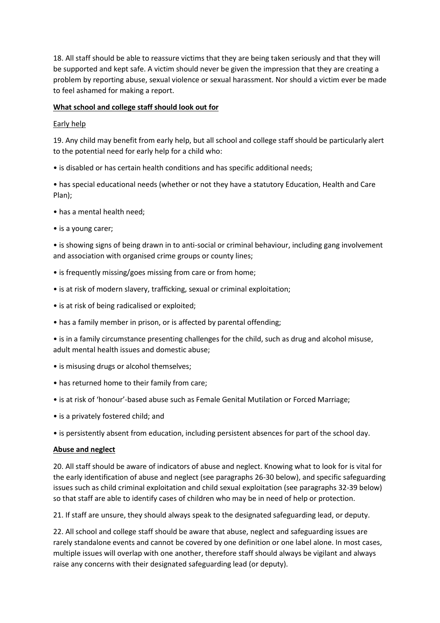18. All staff should be able to reassure victims that they are being taken seriously and that they will be supported and kept safe. A victim should never be given the impression that they are creating a problem by reporting abuse, sexual violence or sexual harassment. Nor should a victim ever be made to feel ashamed for making a report.

## **What school and college staff should look out for**

### Early help

19. Any child may benefit from early help, but all school and college staff should be particularly alert to the potential need for early help for a child who:

• is disabled or has certain health conditions and has specific additional needs;

• has special educational needs (whether or not they have a statutory Education, Health and Care Plan);

- has a mental health need;
- is a young carer;

• is showing signs of being drawn in to anti-social or criminal behaviour, including gang involvement and association with organised crime groups or county lines;

- is frequently missing/goes missing from care or from home;
- is at risk of modern slavery, trafficking, sexual or criminal exploitation;
- is at risk of being radicalised or exploited;
- has a family member in prison, or is affected by parental offending;

• is in a family circumstance presenting challenges for the child, such as drug and alcohol misuse, adult mental health issues and domestic abuse;

- is misusing drugs or alcohol themselves;
- has returned home to their family from care;
- is at risk of 'honour'-based abuse such as Female Genital Mutilation or Forced Marriage;
- is a privately fostered child; and
- is persistently absent from education, including persistent absences for part of the school day.

#### **Abuse and neglect**

20. All staff should be aware of indicators of abuse and neglect. Knowing what to look for is vital for the early identification of abuse and neglect (see paragraphs 26-30 below), and specific safeguarding issues such as child criminal exploitation and child sexual exploitation (see paragraphs 32-39 below) so that staff are able to identify cases of children who may be in need of help or protection.

21. If staff are unsure, they should always speak to the designated safeguarding lead, or deputy.

22. All school and college staff should be aware that abuse, neglect and safeguarding issues are rarely standalone events and cannot be covered by one definition or one label alone. In most cases, multiple issues will overlap with one another, therefore staff should always be vigilant and always raise any concerns with their designated safeguarding lead (or deputy).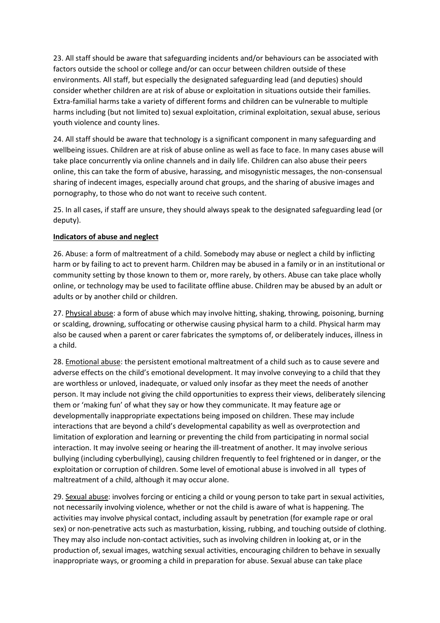23. All staff should be aware that safeguarding incidents and/or behaviours can be associated with factors outside the school or college and/or can occur between children outside of these environments. All staff, but especially the designated safeguarding lead (and deputies) should consider whether children are at risk of abuse or exploitation in situations outside their families. Extra-familial harms take a variety of different forms and children can be vulnerable to multiple harms including (but not limited to) sexual exploitation, criminal exploitation, sexual abuse, serious youth violence and county lines.

24. All staff should be aware that technology is a significant component in many safeguarding and wellbeing issues. Children are at risk of abuse online as well as face to face. In many cases abuse will take place concurrently via online channels and in daily life. Children can also abuse their peers online, this can take the form of abusive, harassing, and misogynistic messages, the non-consensual sharing of indecent images, especially around chat groups, and the sharing of abusive images and pornography, to those who do not want to receive such content.

25. In all cases, if staff are unsure, they should always speak to the designated safeguarding lead (or deputy).

#### **Indicators of abuse and neglect**

26. Abuse: a form of maltreatment of a child. Somebody may abuse or neglect a child by inflicting harm or by failing to act to prevent harm. Children may be abused in a family or in an institutional or community setting by those known to them or, more rarely, by others. Abuse can take place wholly online, or technology may be used to facilitate offline abuse. Children may be abused by an adult or adults or by another child or children.

27. Physical abuse: a form of abuse which may involve hitting, shaking, throwing, poisoning, burning or scalding, drowning, suffocating or otherwise causing physical harm to a child. Physical harm may also be caused when a parent or carer fabricates the symptoms of, or deliberately induces, illness in a child.

28. Emotional abuse: the persistent emotional maltreatment of a child such as to cause severe and adverse effects on the child's emotional development. It may involve conveying to a child that they are worthless or unloved, inadequate, or valued only insofar as they meet the needs of another person. It may include not giving the child opportunities to express their views, deliberately silencing them or 'making fun' of what they say or how they communicate. It may feature age or developmentally inappropriate expectations being imposed on children. These may include interactions that are beyond a child's developmental capability as well as overprotection and limitation of exploration and learning or preventing the child from participating in normal social interaction. It may involve seeing or hearing the ill-treatment of another. It may involve serious bullying (including cyberbullying), causing children frequently to feel frightened or in danger, or the exploitation or corruption of children. Some level of emotional abuse is involved in all types of maltreatment of a child, although it may occur alone.

29. Sexual abuse: involves forcing or enticing a child or young person to take part in sexual activities, not necessarily involving violence, whether or not the child is aware of what is happening. The activities may involve physical contact, including assault by penetration (for example rape or oral sex) or non-penetrative acts such as masturbation, kissing, rubbing, and touching outside of clothing. They may also include non-contact activities, such as involving children in looking at, or in the production of, sexual images, watching sexual activities, encouraging children to behave in sexually inappropriate ways, or grooming a child in preparation for abuse. Sexual abuse can take place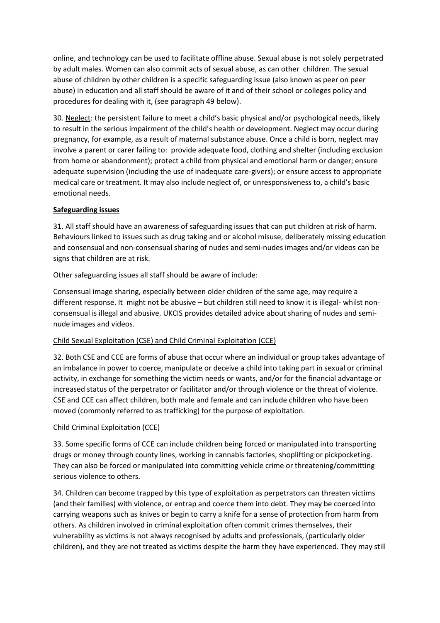online, and technology can be used to facilitate offline abuse. Sexual abuse is not solely perpetrated by adult males. Women can also commit acts of sexual abuse, as can other children. The sexual abuse of children by other children is a specific safeguarding issue (also known as peer on peer abuse) in education and all staff should be aware of it and of their school or colleges policy and procedures for dealing with it, (see paragraph 49 below).

30. Neglect: the persistent failure to meet a child's basic physical and/or psychological needs, likely to result in the serious impairment of the child's health or development. Neglect may occur during pregnancy, for example, as a result of maternal substance abuse. Once a child is born, neglect may involve a parent or carer failing to: provide adequate food, clothing and shelter (including exclusion from home or abandonment); protect a child from physical and emotional harm or danger; ensure adequate supervision (including the use of inadequate care-givers); or ensure access to appropriate medical care or treatment. It may also include neglect of, or unresponsiveness to, a child's basic emotional needs.

## **Safeguarding issues**

31. All staff should have an awareness of safeguarding issues that can put children at risk of harm. Behaviours linked to issues such as drug taking and or alcohol misuse, deliberately missing education and consensual and non-consensual sharing of nudes and semi-nudes images and/or videos can be signs that children are at risk.

Other safeguarding issues all staff should be aware of include:

Consensual image sharing, especially between older children of the same age, may require a different response. It might not be abusive – but children still need to know it is illegal- whilst nonconsensual is illegal and abusive. UKCIS provides detailed advice about sharing of nudes and seminude images and videos.

## Child Sexual Exploitation (CSE) and Child Criminal Exploitation (CCE)

32. Both CSE and CCE are forms of abuse that occur where an individual or group takes advantage of an imbalance in power to coerce, manipulate or deceive a child into taking part in sexual or criminal activity, in exchange for something the victim needs or wants, and/or for the financial advantage or increased status of the perpetrator or facilitator and/or through violence or the threat of violence. CSE and CCE can affect children, both male and female and can include children who have been moved (commonly referred to as trafficking) for the purpose of exploitation.

## Child Criminal Exploitation (CCE)

33. Some specific forms of CCE can include children being forced or manipulated into transporting drugs or money through county lines, working in cannabis factories, shoplifting or pickpocketing. They can also be forced or manipulated into committing vehicle crime or threatening/committing serious violence to others.

34. Children can become trapped by this type of exploitation as perpetrators can threaten victims (and their families) with violence, or entrap and coerce them into debt. They may be coerced into carrying weapons such as knives or begin to carry a knife for a sense of protection from harm from others. As children involved in criminal exploitation often commit crimes themselves, their vulnerability as victims is not always recognised by adults and professionals, (particularly older children), and they are not treated as victims despite the harm they have experienced. They may still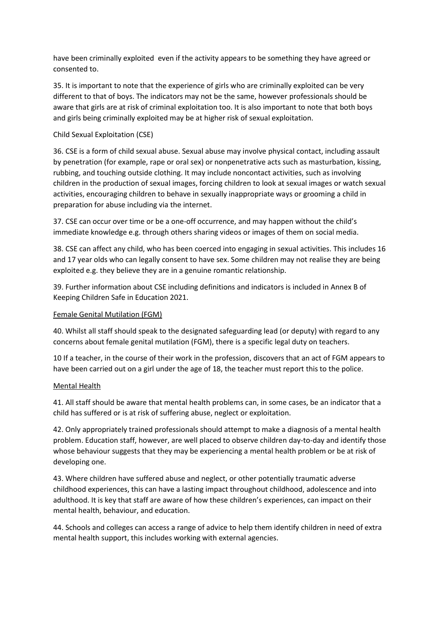have been criminally exploited even if the activity appears to be something they have agreed or consented to.

35. It is important to note that the experience of girls who are criminally exploited can be very different to that of boys. The indicators may not be the same, however professionals should be aware that girls are at risk of criminal exploitation too. It is also important to note that both boys and girls being criminally exploited may be at higher risk of sexual exploitation.

## Child Sexual Exploitation (CSE)

36. CSE is a form of child sexual abuse. Sexual abuse may involve physical contact, including assault by penetration (for example, rape or oral sex) or nonpenetrative acts such as masturbation, kissing, rubbing, and touching outside clothing. It may include noncontact activities, such as involving children in the production of sexual images, forcing children to look at sexual images or watch sexual activities, encouraging children to behave in sexually inappropriate ways or grooming a child in preparation for abuse including via the internet.

37. CSE can occur over time or be a one-off occurrence, and may happen without the child's immediate knowledge e.g. through others sharing videos or images of them on social media.

38. CSE can affect any child, who has been coerced into engaging in sexual activities. This includes 16 and 17 year olds who can legally consent to have sex. Some children may not realise they are being exploited e.g. they believe they are in a genuine romantic relationship.

39. Further information about CSE including definitions and indicators is included in Annex B of Keeping Children Safe in Education 2021.

### Female Genital Mutilation (FGM)

40. Whilst all staff should speak to the designated safeguarding lead (or deputy) with regard to any concerns about female genital mutilation (FGM), there is a specific legal duty on teachers.

10 If a teacher, in the course of their work in the profession, discovers that an act of FGM appears to have been carried out on a girl under the age of 18, the teacher must report this to the police.

#### Mental Health

41. All staff should be aware that mental health problems can, in some cases, be an indicator that a child has suffered or is at risk of suffering abuse, neglect or exploitation.

42. Only appropriately trained professionals should attempt to make a diagnosis of a mental health problem. Education staff, however, are well placed to observe children day-to-day and identify those whose behaviour suggests that they may be experiencing a mental health problem or be at risk of developing one.

43. Where children have suffered abuse and neglect, or other potentially traumatic adverse childhood experiences, this can have a lasting impact throughout childhood, adolescence and into adulthood. It is key that staff are aware of how these children's experiences, can impact on their mental health, behaviour, and education.

44. Schools and colleges can access a range of advice to help them identify children in need of extra mental health support, this includes working with external agencies.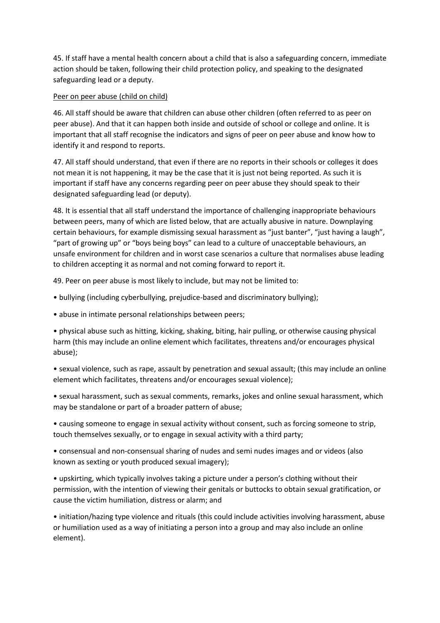45. If staff have a mental health concern about a child that is also a safeguarding concern, immediate action should be taken, following their child protection policy, and speaking to the designated safeguarding lead or a deputy.

## Peer on peer abuse (child on child)

46. All staff should be aware that children can abuse other children (often referred to as peer on peer abuse). And that it can happen both inside and outside of school or college and online. It is important that all staff recognise the indicators and signs of peer on peer abuse and know how to identify it and respond to reports.

47. All staff should understand, that even if there are no reports in their schools or colleges it does not mean it is not happening, it may be the case that it is just not being reported. As such it is important if staff have any concerns regarding peer on peer abuse they should speak to their designated safeguarding lead (or deputy).

48. It is essential that all staff understand the importance of challenging inappropriate behaviours between peers, many of which are listed below, that are actually abusive in nature. Downplaying certain behaviours, for example dismissing sexual harassment as "just banter", "just having a laugh", "part of growing up" or "boys being boys" can lead to a culture of unacceptable behaviours, an unsafe environment for children and in worst case scenarios a culture that normalises abuse leading to children accepting it as normal and not coming forward to report it.

49. Peer on peer abuse is most likely to include, but may not be limited to:

- bullying (including cyberbullying, prejudice-based and discriminatory bullying);
- abuse in intimate personal relationships between peers;

• physical abuse such as hitting, kicking, shaking, biting, hair pulling, or otherwise causing physical harm (this may include an online element which facilitates, threatens and/or encourages physical abuse);

• sexual violence, such as rape, assault by penetration and sexual assault; (this may include an online element which facilitates, threatens and/or encourages sexual violence);

• sexual harassment, such as sexual comments, remarks, jokes and online sexual harassment, which may be standalone or part of a broader pattern of abuse;

• causing someone to engage in sexual activity without consent, such as forcing someone to strip, touch themselves sexually, or to engage in sexual activity with a third party;

• consensual and non-consensual sharing of nudes and semi nudes images and or videos (also known as sexting or youth produced sexual imagery);

• upskirting, which typically involves taking a picture under a person's clothing without their permission, with the intention of viewing their genitals or buttocks to obtain sexual gratification, or cause the victim humiliation, distress or alarm; and

• initiation/hazing type violence and rituals (this could include activities involving harassment, abuse or humiliation used as a way of initiating a person into a group and may also include an online element).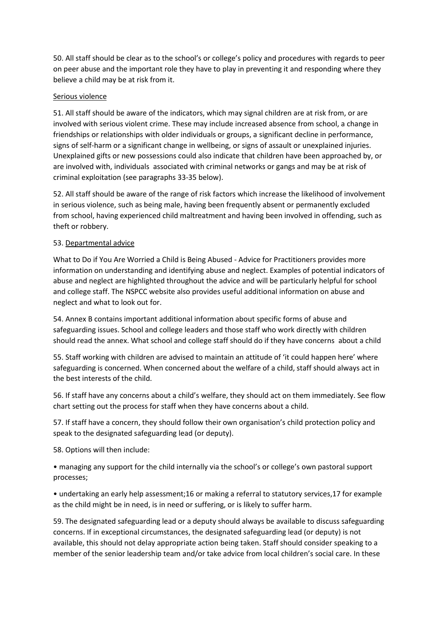50. All staff should be clear as to the school's or college's policy and procedures with regards to peer on peer abuse and the important role they have to play in preventing it and responding where they believe a child may be at risk from it.

### Serious violence

51. All staff should be aware of the indicators, which may signal children are at risk from, or are involved with serious violent crime. These may include increased absence from school, a change in friendships or relationships with older individuals or groups, a significant decline in performance, signs of self-harm or a significant change in wellbeing, or signs of assault or unexplained injuries. Unexplained gifts or new possessions could also indicate that children have been approached by, or are involved with, individuals associated with criminal networks or gangs and may be at risk of criminal exploitation (see paragraphs 33-35 below).

52. All staff should be aware of the range of risk factors which increase the likelihood of involvement in serious violence, such as being male, having been frequently absent or permanently excluded from school, having experienced child maltreatment and having been involved in offending, such as theft or robbery.

## 53. Departmental advice

What to Do if You Are Worried a Child is Being Abused - Advice for Practitioners provides more information on understanding and identifying abuse and neglect. Examples of potential indicators of abuse and neglect are highlighted throughout the advice and will be particularly helpful for school and college staff. The NSPCC website also provides useful additional information on abuse and neglect and what to look out for.

54. Annex B contains important additional information about specific forms of abuse and safeguarding issues. School and college leaders and those staff who work directly with children should read the annex. What school and college staff should do if they have concerns about a child

55. Staff working with children are advised to maintain an attitude of 'it could happen here' where safeguarding is concerned. When concerned about the welfare of a child, staff should always act in the best interests of the child.

56. If staff have any concerns about a child's welfare, they should act on them immediately. See flow chart setting out the process for staff when they have concerns about a child.

57. If staff have a concern, they should follow their own organisation's child protection policy and speak to the designated safeguarding lead (or deputy).

58. Options will then include:

• managing any support for the child internally via the school's or college's own pastoral support processes;

• undertaking an early help assessment;16 or making a referral to statutory services,17 for example as the child might be in need, is in need or suffering, or is likely to suffer harm.

59. The designated safeguarding lead or a deputy should always be available to discuss safeguarding concerns. If in exceptional circumstances, the designated safeguarding lead (or deputy) is not available, this should not delay appropriate action being taken. Staff should consider speaking to a member of the senior leadership team and/or take advice from local children's social care. In these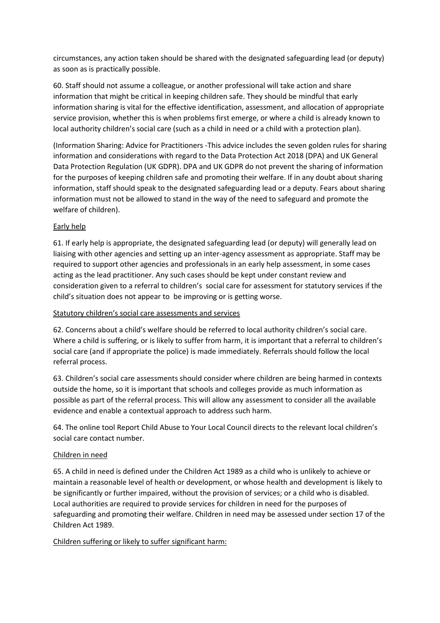circumstances, any action taken should be shared with the designated safeguarding lead (or deputy) as soon as is practically possible.

60. Staff should not assume a colleague, or another professional will take action and share information that might be critical in keeping children safe. They should be mindful that early information sharing is vital for the effective identification, assessment, and allocation of appropriate service provision, whether this is when problems first emerge, or where a child is already known to local authority children's social care (such as a child in need or a child with a protection plan).

(Information Sharing: Advice for Practitioners -This advice includes the seven golden rules for sharing information and considerations with regard to the Data Protection Act 2018 (DPA) and UK General Data Protection Regulation (UK GDPR). DPA and UK GDPR do not prevent the sharing of information for the purposes of keeping children safe and promoting their welfare. If in any doubt about sharing information, staff should speak to the designated safeguarding lead or a deputy. Fears about sharing information must not be allowed to stand in the way of the need to safeguard and promote the welfare of children).

## Early help

61. If early help is appropriate, the designated safeguarding lead (or deputy) will generally lead on liaising with other agencies and setting up an inter-agency assessment as appropriate. Staff may be required to support other agencies and professionals in an early help assessment, in some cases acting as the lead practitioner. Any such cases should be kept under constant review and consideration given to a referral to children's social care for assessment for statutory services if the child's situation does not appear to be improving or is getting worse.

#### Statutory children's social care assessments and services

62. Concerns about a child's welfare should be referred to local authority children's social care. Where a child is suffering, or is likely to suffer from harm, it is important that a referral to children's social care (and if appropriate the police) is made immediately. Referrals should follow the local referral process.

63. Children's social care assessments should consider where children are being harmed in contexts outside the home, so it is important that schools and colleges provide as much information as possible as part of the referral process. This will allow any assessment to consider all the available evidence and enable a contextual approach to address such harm.

64. The online tool Report Child Abuse to Your Local Council directs to the relevant local children's social care contact number.

#### Children in need

65. A child in need is defined under the Children Act 1989 as a child who is unlikely to achieve or maintain a reasonable level of health or development, or whose health and development is likely to be significantly or further impaired, without the provision of services; or a child who is disabled. Local authorities are required to provide services for children in need for the purposes of safeguarding and promoting their welfare. Children in need may be assessed under section 17 of the Children Act 1989.

#### Children suffering or likely to suffer significant harm: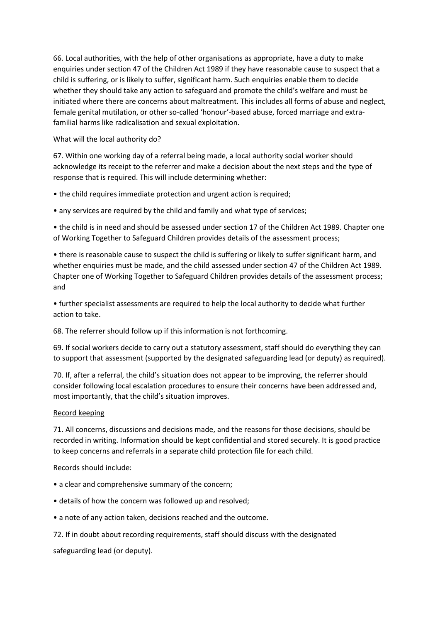66. Local authorities, with the help of other organisations as appropriate, have a duty to make enquiries under section 47 of the Children Act 1989 if they have reasonable cause to suspect that a child is suffering, or is likely to suffer, significant harm. Such enquiries enable them to decide whether they should take any action to safeguard and promote the child's welfare and must be initiated where there are concerns about maltreatment. This includes all forms of abuse and neglect, female genital mutilation, or other so-called 'honour'-based abuse, forced marriage and extrafamilial harms like radicalisation and sexual exploitation.

## What will the local authority do?

67. Within one working day of a referral being made, a local authority social worker should acknowledge its receipt to the referrer and make a decision about the next steps and the type of response that is required. This will include determining whether:

• the child requires immediate protection and urgent action is required;

• any services are required by the child and family and what type of services;

• the child is in need and should be assessed under section 17 of the Children Act 1989. Chapter one of Working Together to Safeguard Children provides details of the assessment process;

• there is reasonable cause to suspect the child is suffering or likely to suffer significant harm, and whether enquiries must be made, and the child assessed under section 47 of the Children Act 1989. Chapter one of Working Together to Safeguard Children provides details of the assessment process; and

• further specialist assessments are required to help the local authority to decide what further action to take.

68. The referrer should follow up if this information is not forthcoming.

69. If social workers decide to carry out a statutory assessment, staff should do everything they can to support that assessment (supported by the designated safeguarding lead (or deputy) as required).

70. If, after a referral, the child's situation does not appear to be improving, the referrer should consider following local escalation procedures to ensure their concerns have been addressed and, most importantly, that the child's situation improves.

#### Record keeping

71. All concerns, discussions and decisions made, and the reasons for those decisions, should be recorded in writing. Information should be kept confidential and stored securely. It is good practice to keep concerns and referrals in a separate child protection file for each child.

#### Records should include:

- a clear and comprehensive summary of the concern;
- details of how the concern was followed up and resolved;
- a note of any action taken, decisions reached and the outcome.
- 72. If in doubt about recording requirements, staff should discuss with the designated

safeguarding lead (or deputy).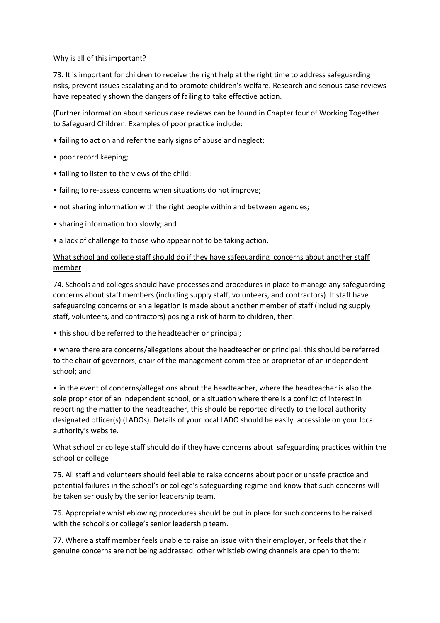## Why is all of this important?

73. It is important for children to receive the right help at the right time to address safeguarding risks, prevent issues escalating and to promote children's welfare. Research and serious case reviews have repeatedly shown the dangers of failing to take effective action.

(Further information about serious case reviews can be found in Chapter four of Working Together to Safeguard Children. Examples of poor practice include:

- failing to act on and refer the early signs of abuse and neglect;
- poor record keeping;
- failing to listen to the views of the child;
- failing to re-assess concerns when situations do not improve;
- not sharing information with the right people within and between agencies;
- sharing information too slowly; and
- a lack of challenge to those who appear not to be taking action.

# What school and college staff should do if they have safeguarding concerns about another staff member

74. Schools and colleges should have processes and procedures in place to manage any safeguarding concerns about staff members (including supply staff, volunteers, and contractors). If staff have safeguarding concerns or an allegation is made about another member of staff (including supply staff, volunteers, and contractors) posing a risk of harm to children, then:

• this should be referred to the headteacher or principal;

• where there are concerns/allegations about the headteacher or principal, this should be referred to the chair of governors, chair of the management committee or proprietor of an independent school; and

• in the event of concerns/allegations about the headteacher, where the headteacher is also the sole proprietor of an independent school, or a situation where there is a conflict of interest in reporting the matter to the headteacher, this should be reported directly to the local authority designated officer(s) (LADOs). Details of your local LADO should be easily accessible on your local authority's website.

## What school or college staff should do if they have concerns about safeguarding practices within the school or college

75. All staff and volunteers should feel able to raise concerns about poor or unsafe practice and potential failures in the school's or college's safeguarding regime and know that such concerns will be taken seriously by the senior leadership team.

76. Appropriate whistleblowing procedures should be put in place for such concerns to be raised with the school's or college's senior leadership team.

77. Where a staff member feels unable to raise an issue with their employer, or feels that their genuine concerns are not being addressed, other whistleblowing channels are open to them: